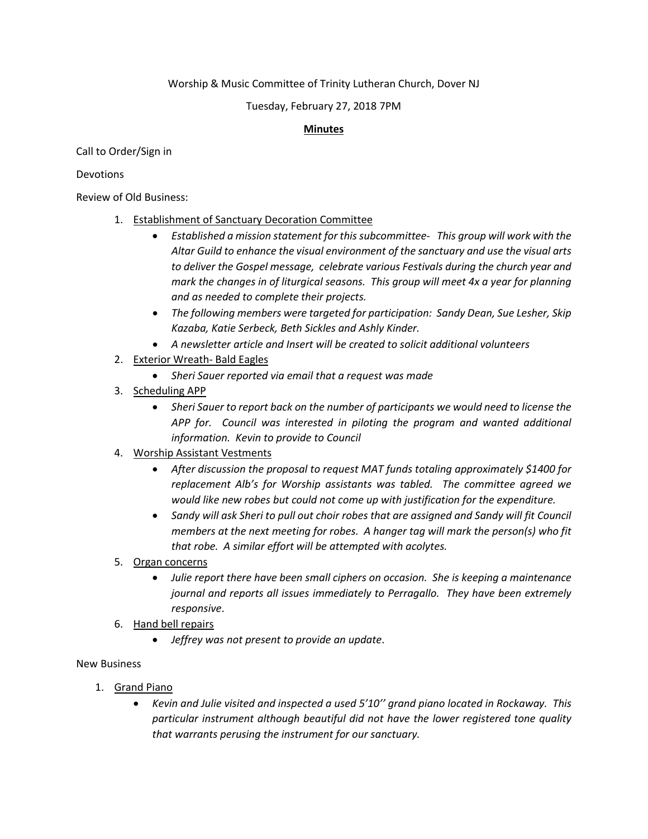## Worship & Music Committee of Trinity Lutheran Church, Dover NJ

#### Tuesday, February 27, 2018 7PM

## **Minutes**

Call to Order/Sign in

#### Devotions

Review of Old Business:

- 1. Establishment of Sanctuary Decoration Committee
	- *Established a mission statement for this subcommittee- This group will work with the Altar Guild to enhance the visual environment of the sanctuary and use the visual arts to deliver the Gospel message, celebrate various Festivals during the church year and mark the changes in of liturgical seasons. This group will meet 4x a year for planning and as needed to complete their projects.*
	- *The following members were targeted for participation: Sandy Dean, Sue Lesher, Skip Kazaba, Katie Serbeck, Beth Sickles and Ashly Kinder.*
	- *A newsletter article and Insert will be created to solicit additional volunteers*
- 2. Exterior Wreath- Bald Eagles
	- *Sheri Sauer reported via email that a request was made*
- 3. Scheduling APP
	- *Sheri Sauer to report back on the number of participants we would need to license the APP for. Council was interested in piloting the program and wanted additional information. Kevin to provide to Council*
- 4. Worship Assistant Vestments
	- *After discussion the proposal to request MAT funds totaling approximately \$1400 for replacement Alb's for Worship assistants was tabled. The committee agreed we would like new robes but could not come up with justification for the expenditure.*
	- *Sandy will ask Sheri to pull out choir robes that are assigned and Sandy will fit Council members at the next meeting for robes. A hanger tag will mark the person(s) who fit that robe. A similar effort will be attempted with acolytes.*
- 5. Organ concerns
	- *Julie report there have been small ciphers on occasion. She is keeping a maintenance journal and reports all issues immediately to Perragallo. They have been extremely responsive*.
- 6. Hand bell repairs
	- *Jeffrey was not present to provide an update*.

## New Business

- 1. Grand Piano
	- *Kevin and Julie visited and inspected a used 5'10'' grand piano located in Rockaway. This particular instrument although beautiful did not have the lower registered tone quality that warrants perusing the instrument for our sanctuary.*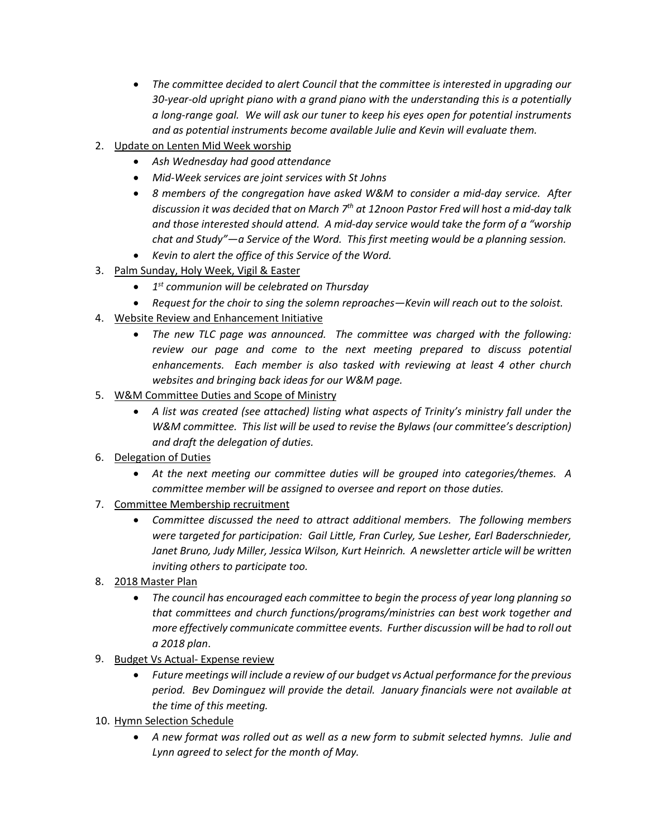- *The committee decided to alert Council that the committee is interested in upgrading our 30-year-old upright piano with a grand piano with the understanding this is a potentially a long-range goal. We will ask our tuner to keep his eyes open for potential instruments and as potential instruments become available Julie and Kevin will evaluate them.*
- 2. Update on Lenten Mid Week worship
	- *Ash Wednesday had good attendance*
	- *Mid-Week services are joint services with St Johns*
	- *8 members of the congregation have asked W&M to consider a mid-day service. After discussion it was decided that on March 7th at 12noon Pastor Fred will host a mid-day talk and those interested should attend. A mid-day service would take the form of a "worship chat and Study"—a Service of the Word. This first meeting would be a planning session.*
	- *Kevin to alert the office of this Service of the Word.*
- 3. Palm Sunday, Holy Week, Vigil & Easter
	- *1st communion will be celebrated on Thursday*
	- *Request for the choir to sing the solemn reproaches—Kevin will reach out to the soloist.*
- 4. Website Review and Enhancement Initiative
	- *The new TLC page was announced. The committee was charged with the following: review our page and come to the next meeting prepared to discuss potential enhancements. Each member is also tasked with reviewing at least 4 other church websites and bringing back ideas for our W&M page.*
- 5. W&M Committee Duties and Scope of Ministry
	- *A list was created (see attached) listing what aspects of Trinity's ministry fall under the W&M committee. This list will be used to revise the Bylaws (our committee's description) and draft the delegation of duties.*
- 6. Delegation of Duties
	- *At the next meeting our committee duties will be grouped into categories/themes. A committee member will be assigned to oversee and report on those duties.*
- 7. Committee Membership recruitment
	- *Committee discussed the need to attract additional members. The following members were targeted for participation: Gail Little, Fran Curley, Sue Lesher, Earl Baderschnieder, Janet Bruno, Judy Miller, Jessica Wilson, Kurt Heinrich. A newsletter article will be written inviting others to participate too.*
- 8. 2018 Master Plan
	- *The council has encouraged each committee to begin the process of year long planning so that committees and church functions/programs/ministries can best work together and more effectively communicate committee events. Further discussion will be had to roll out a 2018 plan*.
- 9. Budget Vs Actual- Expense review
	- *Future meetings will include a review of our budget vs Actual performance for the previous period. Bev Dominguez will provide the detail. January financials were not available at the time of this meeting.*
- 10. Hymn Selection Schedule
	- *A new format was rolled out as well as a new form to submit selected hymns. Julie and Lynn agreed to select for the month of May.*